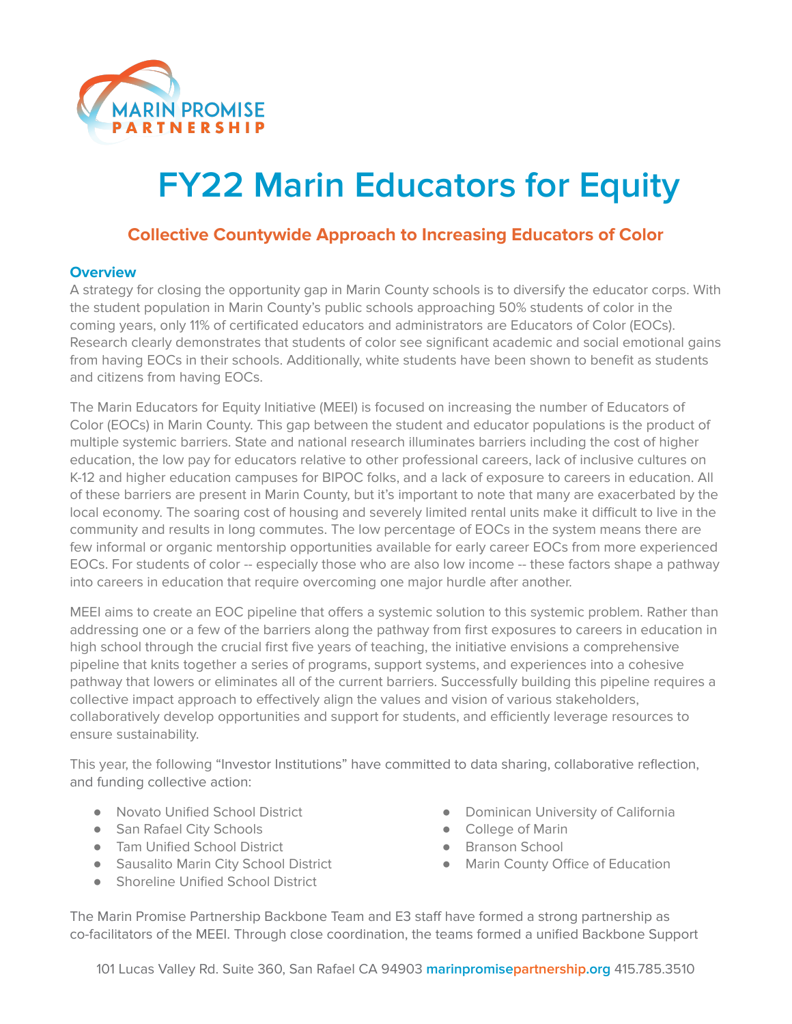

# **FY22 Marin Educators for Equity**

## **Collective Countywide Approach to Increasing Educators of Color**

#### **Overview**

A strategy for closing the opportunity gap in Marin County schools is to diversify the educator corps. With the student population in Marin County's public schools approaching 50% students of color in the coming years, only 11% of certificated educators and administrators are Educators of Color (EOCs). Research clearly demonstrates that students of color see significant academic and social emotional gains from having EOCs in their schools. Additionally, white students have been shown to benefit as students and citizens from having EOCs.

The Marin Educators for Equity Initiative (MEEI) is focused on increasing the number of Educators of Color (EOCs) in Marin County. This gap between the student and educator populations is the product of multiple systemic barriers. State and national research illuminates barriers including the cost of higher education, the low pay for educators relative to other professional careers, lack of inclusive cultures on K-12 and higher education campuses for BIPOC folks, and a lack of exposure to careers in education. All of these barriers are present in Marin County, but it's important to note that many are exacerbated by the local economy. The soaring cost of housing and severely limited rental units make it difficult to live in the community and results in long commutes. The low percentage of EOCs in the system means there are few informal or organic mentorship opportunities available for early career EOCs from more experienced EOCs. For students of color -- especially those who are also low income -- these factors shape a pathway into careers in education that require overcoming one major hurdle after another.

MEEI aims to create an EOC pipeline that offers a systemic solution to this systemic problem. Rather than addressing one or a few of the barriers along the pathway from first exposures to careers in education in high school through the crucial first five years of teaching, the initiative envisions a comprehensive pipeline that knits together a series of programs, support systems, and experiences into a cohesive pathway that lowers or eliminates all of the current barriers. Successfully building this pipeline requires a collective impact approach to effectively align the values and vision of various stakeholders, collaboratively develop opportunities and support for students, and efficiently leverage resources to ensure sustainability.

This year, the following "Investor Institutions" have committed to data sharing, collaborative reflection, and funding collective action:

- Novato Unified School District
- San Rafael City Schools
- Tam Unified School District
- Sausalito Marin City School District
- Shoreline Unified School District
- Dominican University of California
- College of Marin
- **Branson School**
- Marin County Office of Education

The Marin Promise Partnership Backbone Team and E3 staff have formed a strong partnership as co-facilitators of the MEEI. Through close coordination, the teams formed a unified Backbone Support

101 Lucas Valley Rd. Suite 360, San Rafael CA 94903 **marinpromisepartnership.org** 415.785.3510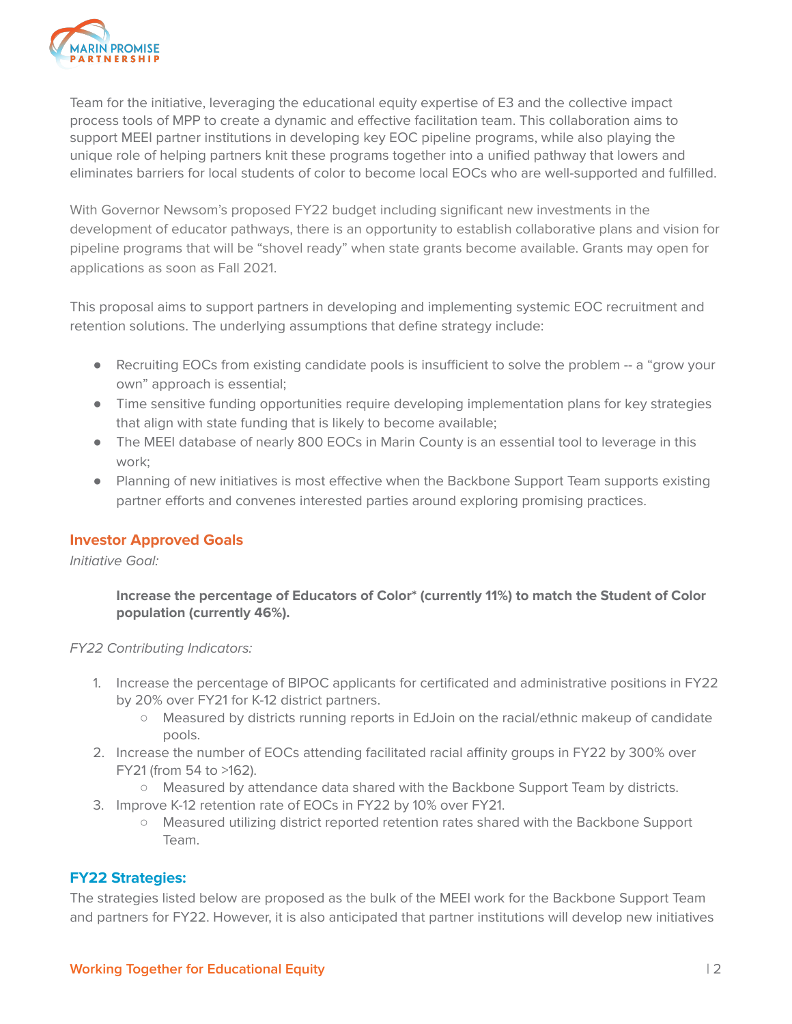

Team for the initiative, leveraging the educational equity expertise of E3 and the collective impact process tools of MPP to create a dynamic and effective facilitation team. This collaboration aims to support MEEI partner institutions in developing key EOC pipeline programs, while also playing the unique role of helping partners knit these programs together into a unified pathway that lowers and eliminates barriers for local students of color to become local EOCs who are well-supported and fulfilled.

With Governor Newsom's proposed FY22 budget including significant new investments in the development of educator pathways, there is an opportunity to establish collaborative plans and vision for pipeline programs that will be "shovel ready" when state grants become available. Grants may open for applications as soon as Fall 2021.

This proposal aims to support partners in developing and implementing systemic EOC recruitment and retention solutions. The underlying assumptions that define strategy include:

- Recruiting EOCs from existing candidate pools is insufficient to solve the problem -- a "grow your own" approach is essential;
- Time sensitive funding opportunities require developing implementation plans for key strategies that align with state funding that is likely to become available;
- The MEEI database of nearly 800 EOCs in Marin County is an essential tool to leverage in this work;
- Planning of new initiatives is most effective when the Backbone Support Team supports existing partner efforts and convenes interested parties around exploring promising practices.

### **Investor Approved Goals**

Initiative Goal:

**Increase the percentage of Educators of Color\* (currently 11%) to match the Student of Color population (currently 46%).**

FY22 Contributing Indicators:

- 1. Increase the percentage of BIPOC applicants for certificated and administrative positions in FY22 by 20% over FY21 for K-12 district partners.
	- Measured by districts running reports in EdJoin on the racial/ethnic makeup of candidate pools.
- 2. Increase the number of EOCs attending facilitated racial affinity groups in FY22 by 300% over FY21 (from 54 to >162).
	- Measured by attendance data shared with the Backbone Support Team by districts.
- 3. Improve K-12 retention rate of EOCs in FY22 by 10% over FY21.
	- Measured utilizing district reported retention rates shared with the Backbone Support Team.

### **FY22 Strategies:**

The strategies listed below are proposed as the bulk of the MEEI work for the Backbone Support Team and partners for FY22. However, it is also anticipated that partner institutions will develop new initiatives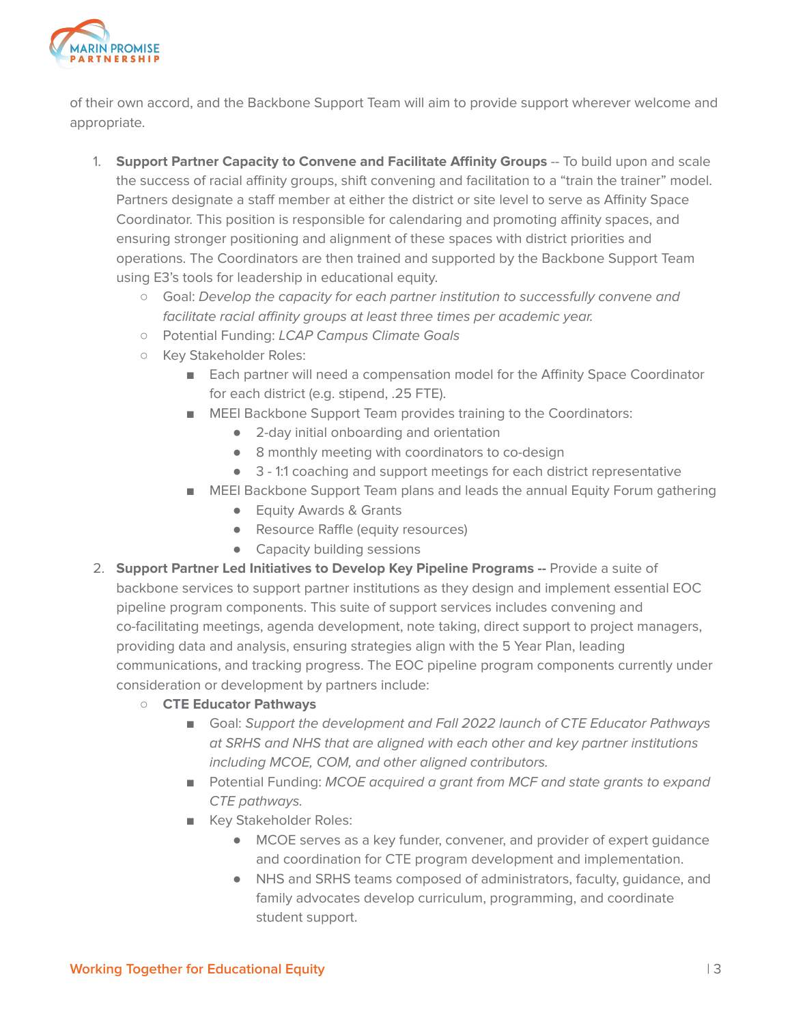

of their own accord, and the Backbone Support Team will aim to provide support wherever welcome and appropriate.

- 1. **Support Partner Capacity to Convene and Facilitate Affinity Groups** -- To build upon and scale the success of racial affinity groups, shift convening and facilitation to a "train the trainer" model. Partners designate a staff member at either the district or site level to serve as Affinity Space Coordinator. This position is responsible for calendaring and promoting affinity spaces, and ensuring stronger positioning and alignment of these spaces with district priorities and operations. The Coordinators are then trained and supported by the Backbone Support Team using E3's tools for leadership in educational equity.
	- Goal: Develop the capacity for each partner institution to successfully convene and facilitate racial affinity groups at least three times per academic year.
	- Potential Funding: LCAP Campus Climate Goals
	- Key Stakeholder Roles:
		- Each partner will need a compensation model for the Affinity Space Coordinator for each district (e.g. stipend, .25 FTE).
		- MEEI Backbone Support Team provides training to the Coordinators:
			- 2-day initial onboarding and orientation
			- 8 monthly meeting with coordinators to co-design
			- 3 1:1 coaching and support meetings for each district representative
		- MEEI Backbone Support Team plans and leads the annual Equity Forum gathering
			- Equity Awards & Grants
			- Resource Raffle (equity resources)
			- Capacity building sessions
- 2. **Support Partner Led Initiatives to Develop Key Pipeline Programs --** Provide a suite of backbone services to support partner institutions as they design and implement essential EOC pipeline program components. This suite of support services includes convening and co-facilitating meetings, agenda development, note taking, direct support to project managers, providing data and analysis, ensuring strategies align with the 5 Year Plan, leading communications, and tracking progress. The EOC pipeline program components currently under consideration or development by partners include:
	- **○ CTE Educator Pathways**
		- Goal: Support the development and Fall 2022 launch of CTE Educator Pathways at SRHS and NHS that are aligned with each other and key partner institutions including MCOE, COM, and other aligned contributors.
		- Potential Funding: MCOE acquired a grant from MCF and state grants to expand CTE pathways.
		- Key Stakeholder Roles:
			- MCOE serves as a key funder, convener, and provider of expert guidance and coordination for CTE program development and implementation.
			- NHS and SRHS teams composed of administrators, faculty, guidance, and family advocates develop curriculum, programming, and coordinate student support.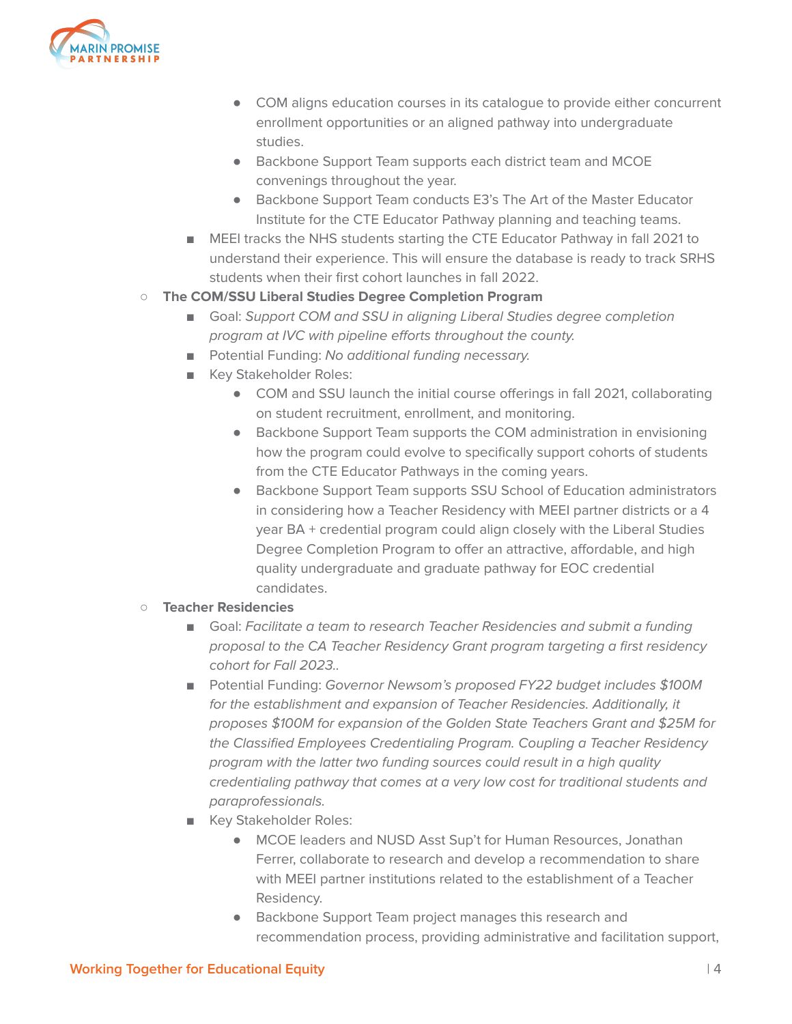

- COM aligns education courses in its catalogue to provide either concurrent enrollment opportunities or an aligned pathway into undergraduate studies.
- Backbone Support Team supports each district team and MCOE convenings throughout the year.
- Backbone Support Team conducts E3's The Art of the Master Educator Institute for the CTE Educator Pathway planning and teaching teams.
- MEEI tracks the NHS students starting the CTE Educator Pathway in fall 2021 to understand their experience. This will ensure the database is ready to track SRHS students when their first cohort launches in fall 2022.

### **○ The COM/SSU Liberal Studies Degree Completion Program**

- Goal: Support COM and SSU in aligning Liberal Studies degree completion program at IVC with pipeline efforts throughout the county.
- Potential Funding: No additional funding necessary.
- Key Stakeholder Roles:
	- COM and SSU launch the initial course offerings in fall 2021, collaborating on student recruitment, enrollment, and monitoring.
	- Backbone Support Team supports the COM administration in envisioning how the program could evolve to specifically support cohorts of students from the CTE Educator Pathways in the coming years.
	- Backbone Support Team supports SSU School of Education administrators in considering how a Teacher Residency with MEEI partner districts or a 4 year BA + credential program could align closely with the Liberal Studies Degree Completion Program to offer an attractive, affordable, and high quality undergraduate and graduate pathway for EOC credential candidates.
- **○ Teacher Residencies**
	- Goal: Facilitate a team to research Teacher Residencies and submit a funding proposal to the CA Teacher Residency Grant program targeting a first residency cohort for Fall 2023..
	- Potential Funding: Governor Newsom's proposed FY22 budget includes \$100M for the establishment and expansion of Teacher Residencies. Additionally, it proposes \$100M for expansion of the Golden State Teachers Grant and \$25M for the Classified Employees Credentialing Program. Coupling a Teacher Residency program with the latter two funding sources could result in a high quality credentialing pathway that comes at a very low cost for traditional students and paraprofessionals.
	- Key Stakeholder Roles:
		- MCOE leaders and NUSD Asst Sup't for Human Resources, Jonathan Ferrer, collaborate to research and develop a recommendation to share with MEEI partner institutions related to the establishment of a Teacher Residency.
		- Backbone Support Team project manages this research and recommendation process, providing administrative and facilitation support,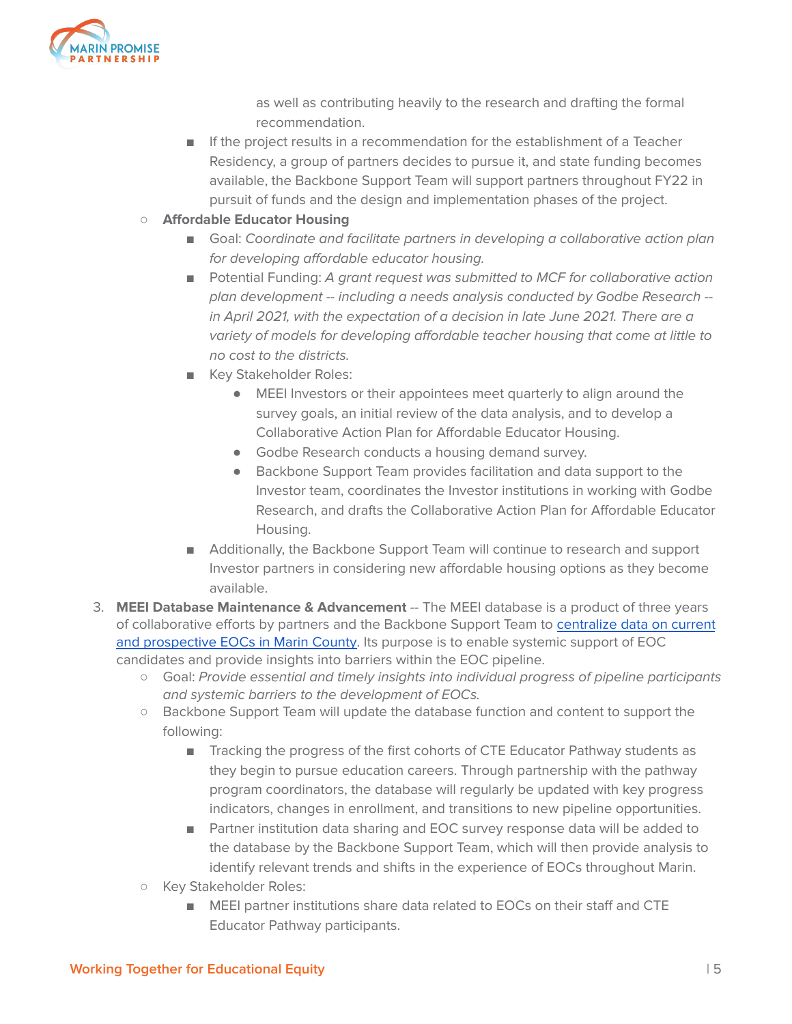

as well as contributing heavily to the research and drafting the formal recommendation.

- If the project results in a recommendation for the establishment of a Teacher Residency, a group of partners decides to pursue it, and state funding becomes available, the Backbone Support Team will support partners throughout FY22 in pursuit of funds and the design and implementation phases of the project.
- **○ Affordable Educator Housing**
	- Goal: Coordinate and facilitate partners in developing a collaborative action plan for developing affordable educator housing.
	- Potential Funding: A grant request was submitted to MCF for collaborative action plan development -- including a needs analysis conducted by Godbe Research - in April 2021, with the expectation of a decision in late June 2021. There are a variety of models for developing affordable teacher housing that come at little to no cost to the districts.
	- Key Stakeholder Roles:
		- MEEI Investors or their appointees meet quarterly to align around the survey goals, an initial review of the data analysis, and to develop a Collaborative Action Plan for Affordable Educator Housing.
		- Godbe Research conducts a housing demand survey.
		- Backbone Support Team provides facilitation and data support to the Investor team, coordinates the Investor institutions in working with Godbe Research, and drafts the Collaborative Action Plan for Affordable Educator Housing.
	- Additionally, the Backbone Support Team will continue to research and support Investor partners in considering new affordable housing options as they become available.
- 3. **MEEI Database Maintenance & Advancement** -- The MEEI database is a product of three years of collaborative efforts by partners and the Backbone Support Team to [centralize](https://drive.google.com/file/d/1Bo1h_O2GzKPz_x9nbYc_15yri0qMQzs_/view?usp=sharing) data on current and [prospective](https://drive.google.com/file/d/1Bo1h_O2GzKPz_x9nbYc_15yri0qMQzs_/view?usp=sharing) EOCs in Marin County. Its purpose is to enable systemic support of EOC candidates and provide insights into barriers within the EOC pipeline.
	- Goal: Provide essential and timely insights into individual progress of pipeline participants and systemic barriers to the development of EOCs.
	- Backbone Support Team will update the database function and content to support the following:
		- Tracking the progress of the first cohorts of CTE Educator Pathway students as they begin to pursue education careers. Through partnership with the pathway program coordinators, the database will regularly be updated with key progress indicators, changes in enrollment, and transitions to new pipeline opportunities.
		- Partner institution data sharing and EOC survey response data will be added to the database by the Backbone Support Team, which will then provide analysis to identify relevant trends and shifts in the experience of EOCs throughout Marin.
	- Key Stakeholder Roles:
		- MEEI partner institutions share data related to EOCs on their staff and CTE Educator Pathway participants.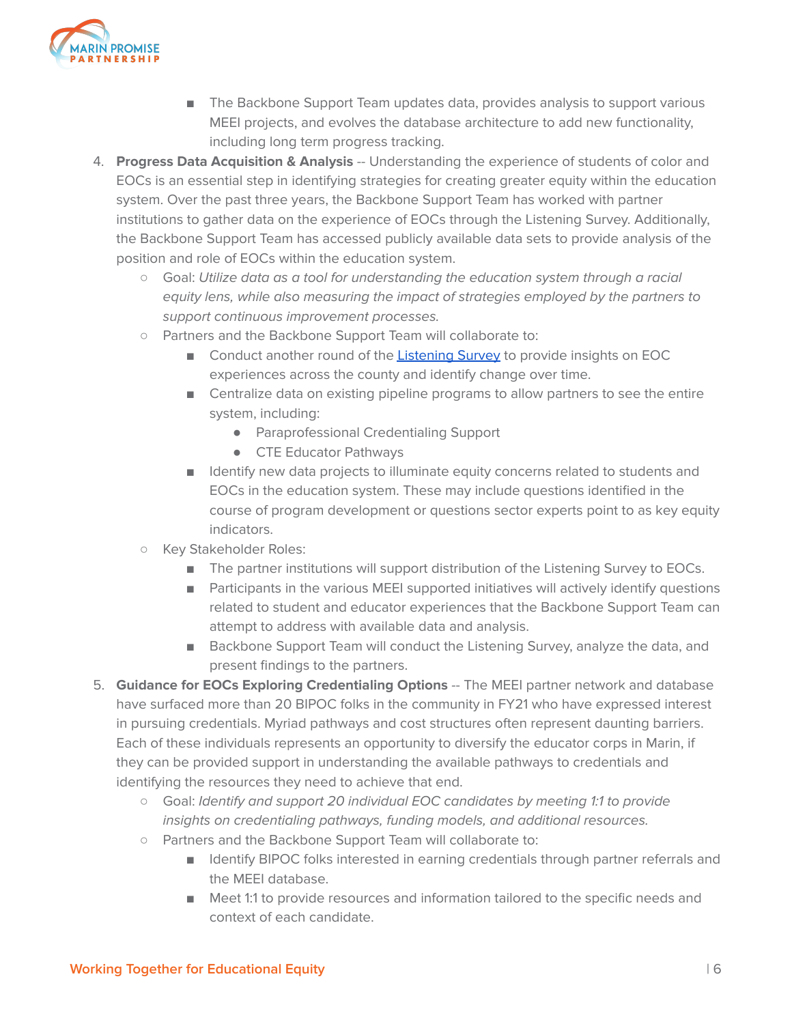

- The Backbone Support Team updates data, provides analysis to support various MEEI projects, and evolves the database architecture to add new functionality, including long term progress tracking.
- 4. **Progress Data Acquisition & Analysis** -- Understanding the experience of students of color and EOCs is an essential step in identifying strategies for creating greater equity within the education system. Over the past three years, the Backbone Support Team has worked with partner institutions to gather data on the experience of EOCs through the Listening Survey. Additionally, the Backbone Support Team has accessed publicly available data sets to provide analysis of the position and role of EOCs within the education system.
	- **○** Goal: Utilize data as a tool for understanding the education system through a racial equity lens, while also measuring the impact of strategies employed by the partners to support continuous improvement processes.
	- **○** Partners and the Backbone Support Team will collaborate to:
		- Conduct another round of the [Listening](https://drive.google.com/file/d/1XQQk-Xtl5HtCTvZ1xZaoKc3C4UABjh9C/view?usp=sharing) Survey to provide insights on EOC experiences across the county and identify change over time.
		- Centralize data on existing pipeline programs to allow partners to see the entire system, including:
			- Paraprofessional Credentialing Support
			- CTE Educator Pathways
		- Identify new data projects to illuminate equity concerns related to students and EOCs in the education system. These may include questions identified in the course of program development or questions sector experts point to as key equity indicators.
	- **○** Key Stakeholder Roles:
		- The partner institutions will support distribution of the Listening Survey to EOCs.
		- Participants in the various MEEI supported initiatives will actively identify questions related to student and educator experiences that the Backbone Support Team can attempt to address with available data and analysis.
		- Backbone Support Team will conduct the Listening Survey, analyze the data, and present findings to the partners.
- 5. **Guidance for EOCs Exploring Credentialing Options** -- The MEEI partner network and database have surfaced more than 20 BIPOC folks in the community in FY21 who have expressed interest in pursuing credentials. Myriad pathways and cost structures often represent daunting barriers. Each of these individuals represents an opportunity to diversify the educator corps in Marin, if they can be provided support in understanding the available pathways to credentials and identifying the resources they need to achieve that end.
	- **○** Goal: Identify and support 20 individual EOC candidates by meeting 1:1 to provide insights on credentialing pathways, funding models, and additional resources.
	- **○** Partners and the Backbone Support Team will collaborate to:
		- Identify BIPOC folks interested in earning credentials through partner referrals and the MEEI database.
		- Meet 1:1 to provide resources and information tailored to the specific needs and context of each candidate.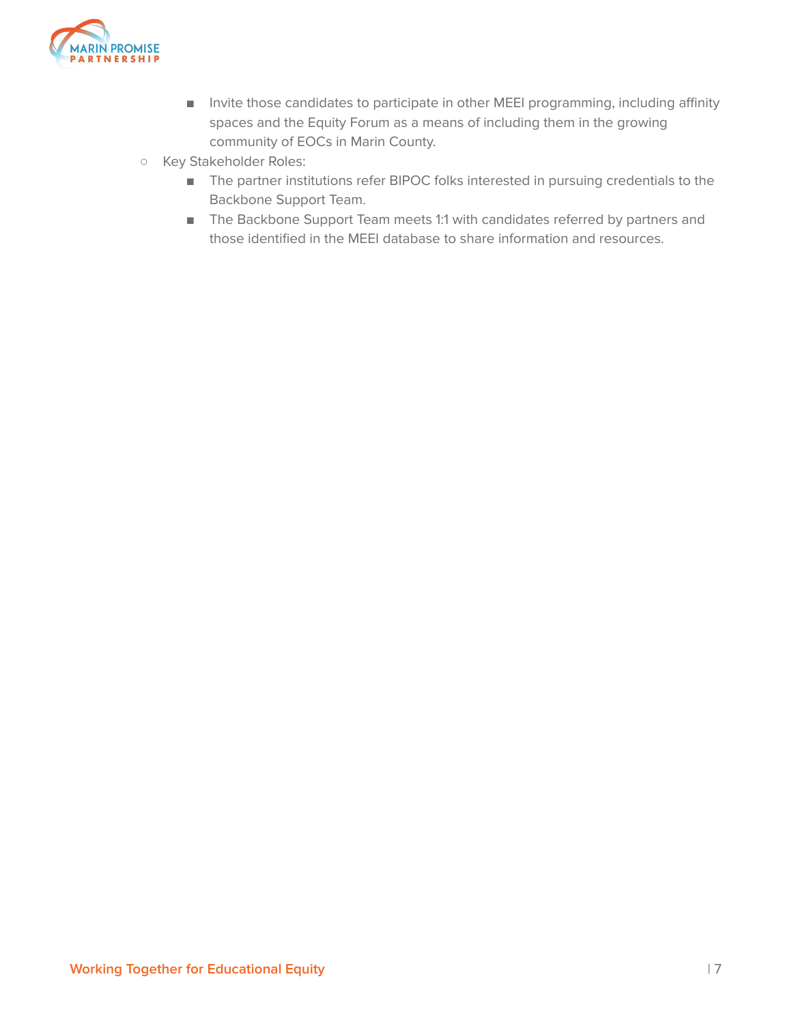

- Invite those candidates to participate in other MEEI programming, including affinity spaces and the Equity Forum as a means of including them in the growing community of EOCs in Marin County.
- **○** Key Stakeholder Roles:
	- The partner institutions refer BIPOC folks interested in pursuing credentials to the Backbone Support Team.
	- The Backbone Support Team meets 1:1 with candidates referred by partners and those identified in the MEEI database to share information and resources.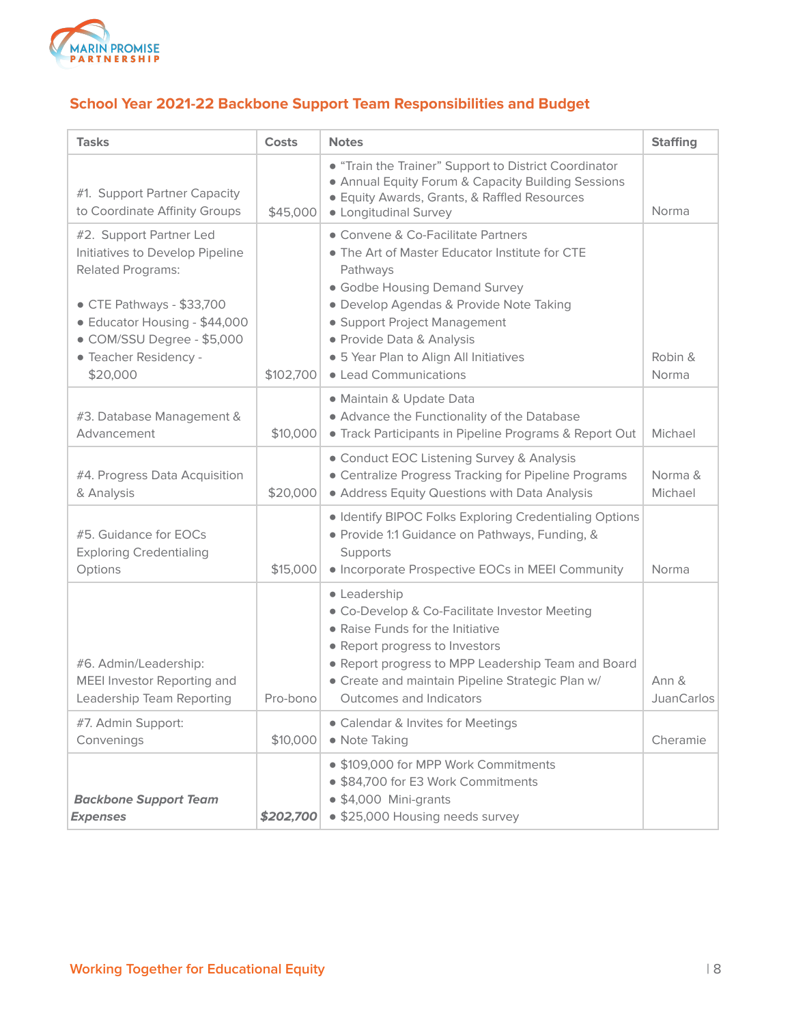

## **School Year 2021-22 Backbone Support Team Responsibilities and Budget**

| <b>Tasks</b>                                                                                                                                                                                                            | <b>Costs</b> | <b>Notes</b>                                                                                                                                                                                                                                                                                                 | <b>Staffing</b>            |
|-------------------------------------------------------------------------------------------------------------------------------------------------------------------------------------------------------------------------|--------------|--------------------------------------------------------------------------------------------------------------------------------------------------------------------------------------------------------------------------------------------------------------------------------------------------------------|----------------------------|
| #1. Support Partner Capacity<br>to Coordinate Affinity Groups                                                                                                                                                           | \$45,000     | • "Train the Trainer" Support to District Coordinator<br>• Annual Equity Forum & Capacity Building Sessions<br>· Equity Awards, Grants, & Raffled Resources<br>• Longitudinal Survey                                                                                                                         | Norma                      |
| #2. Support Partner Led<br>Initiatives to Develop Pipeline<br><b>Related Programs:</b><br>• CTE Pathways - \$33,700<br>• Educator Housing - \$44,000<br>· COM/SSU Degree - \$5,000<br>· Teacher Residency -<br>\$20,000 | \$102,700    | • Convene & Co-Facilitate Partners<br>• The Art of Master Educator Institute for CTE<br>Pathways<br>• Godbe Housing Demand Survey<br>· Develop Agendas & Provide Note Taking<br>• Support Project Management<br>• Provide Data & Analysis<br>· 5 Year Plan to Align All Initiatives<br>• Lead Communications | Robin &<br>Norma           |
| #3. Database Management &<br>Advancement                                                                                                                                                                                | \$10,000     | · Maintain & Update Data<br>• Advance the Functionality of the Database<br>• Track Participants in Pipeline Programs & Report Out                                                                                                                                                                            | Michael                    |
| #4. Progress Data Acquisition<br>& Analysis                                                                                                                                                                             | \$20,000     | • Conduct EOC Listening Survey & Analysis<br>• Centralize Progress Tracking for Pipeline Programs<br>• Address Equity Questions with Data Analysis                                                                                                                                                           | Norma &<br>Michael         |
| #5. Guidance for EOCs<br><b>Exploring Credentialing</b><br>Options                                                                                                                                                      | \$15,000     | · Identify BIPOC Folks Exploring Credentialing Options<br>· Provide 1:1 Guidance on Pathways, Funding, &<br>Supports<br>• Incorporate Prospective EOCs in MEEI Community                                                                                                                                     | Norma                      |
| #6. Admin/Leadership:<br>MEEI Investor Reporting and<br>Leadership Team Reporting                                                                                                                                       | Pro-bono     | • Leadership<br>• Co-Develop & Co-Facilitate Investor Meeting<br>• Raise Funds for the Initiative<br>• Report progress to Investors<br>• Report progress to MPP Leadership Team and Board<br>• Create and maintain Pipeline Strategic Plan w/<br>Outcomes and Indicators                                     | Ann &<br><b>JuanCarlos</b> |
| #7. Admin Support:<br>Convenings                                                                                                                                                                                        | \$10,000     | • Calendar & Invites for Meetings<br>• Note Taking                                                                                                                                                                                                                                                           | Cheramie                   |
| <b>Backbone Support Team</b><br><b>Expenses</b>                                                                                                                                                                         | \$202,700    | • \$109,000 for MPP Work Commitments<br>• \$84,700 for E3 Work Commitments<br>· \$4,000 Mini-grants<br>· \$25,000 Housing needs survey                                                                                                                                                                       |                            |